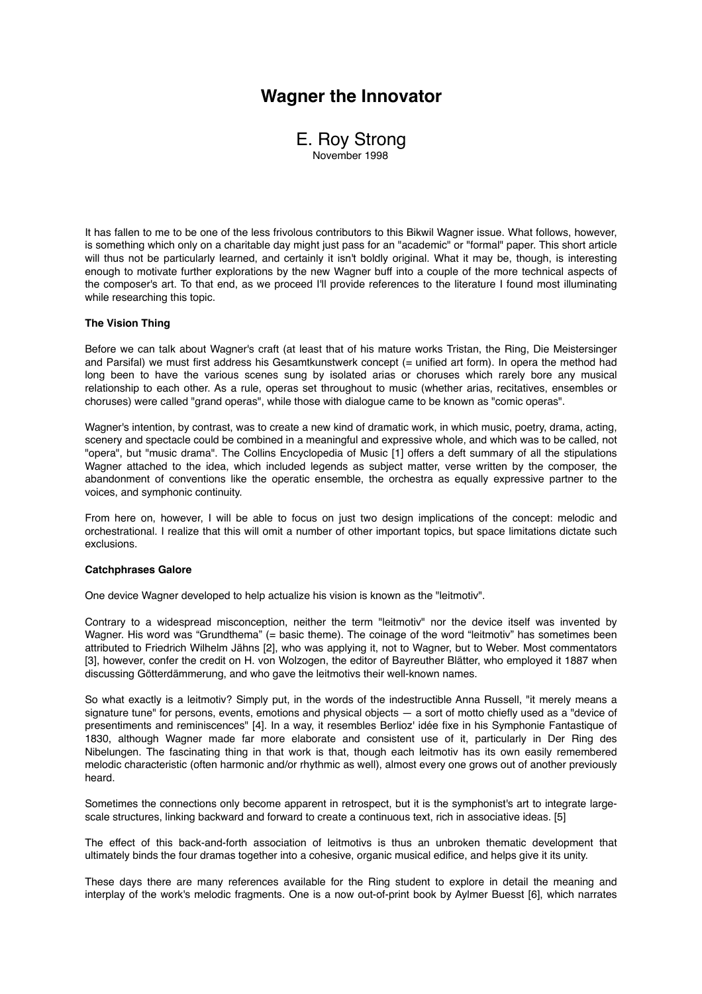# **Wagner the Innovator**



It has fallen to me to be one of the less frivolous contributors to this Bikwil Wagner issue. What follows, however, is something which only on a charitable day might just pass for an "academic" or "formal" paper. This short article will thus not be particularly learned, and certainly it isn't boldly original. What it may be, though, is interesting enough to motivate further explorations by the new Wagner buff into a couple of the more technical aspects of the composer's art. To that end, as we proceed I'll provide references to the literature I found most illuminating while researching this topic.

### **The Vision Thing**

Before we can talk about Wagner's craft (at least that of his mature works Tristan, the Ring, Die Meistersinger and Parsifal) we must first address his Gesamtkunstwerk concept (= unified art form). In opera the method had long been to have the various scenes sung by isolated arias or choruses which rarely bore any musical relationship to each other. As a rule, operas set throughout to music (whether arias, recitatives, ensembles or choruses) were called "grand operas", while those with dialogue came to be known as "comic operas".

Wagner's intention, by contrast, was to create a new kind of dramatic work, in which music, poetry, drama, acting, scenery and spectacle could be combined in a meaningful and expressive whole, and which was to be called, not "opera", but "music drama". The Collins Encyclopedia of Music [1] offers a deft summary of all the stipulations Wagner attached to the idea, which included legends as subject matter, verse written by the composer, the abandonment of conventions like the operatic ensemble, the orchestra as equally expressive partner to the voices, and symphonic continuity.

From here on, however, I will be able to focus on just two design implications of the concept: melodic and orchestrational. I realize that this will omit a number of other important topics, but space limitations dictate such exclusions.

#### **Catchphrases Galore**

One device Wagner developed to help actualize his vision is known as the "leitmotiv".

Contrary to a widespread misconception, neither the term "leitmotiv" nor the device itself was invented by Wagner. His word was "Grundthema" (= basic theme). The coinage of the word "leitmotiv" has sometimes been attributed to Friedrich Wilhelm Jähns [2], who was applying it, not to Wagner, but to Weber. Most commentators [3], however, confer the credit on H. von Wolzogen, the editor of Bayreuther Blätter, who employed it 1887 when discussing Götterdämmerung, and who gave the leitmotivs their well-known names.

So what exactly is a leitmotiv? Simply put, in the words of the indestructible Anna Russell, "it merely means a signature tune" for persons, events, emotions and physical objects — a sort of motto chiefly used as a "device of presentiments and reminiscences" [4]. In a way, it resembles Berlioz' idée fixe in his Symphonie Fantastique of 1830, although Wagner made far more elaborate and consistent use of it, particularly in Der Ring des Nibelungen. The fascinating thing in that work is that, though each leitmotiv has its own easily remembered melodic characteristic (often harmonic and/or rhythmic as well), almost every one grows out of another previously heard.

Sometimes the connections only become apparent in retrospect, but it is the symphonist's art to integrate largescale structures, linking backward and forward to create a continuous text, rich in associative ideas. [5]

The effect of this back-and-forth association of leitmotivs is thus an unbroken thematic development that ultimately binds the four dramas together into a cohesive, organic musical edifice, and helps give it its unity.

These days there are many references available for the Ring student to explore in detail the meaning and interplay of the work's melodic fragments. One is a now out-of-print book by Aylmer Buesst [6], which narrates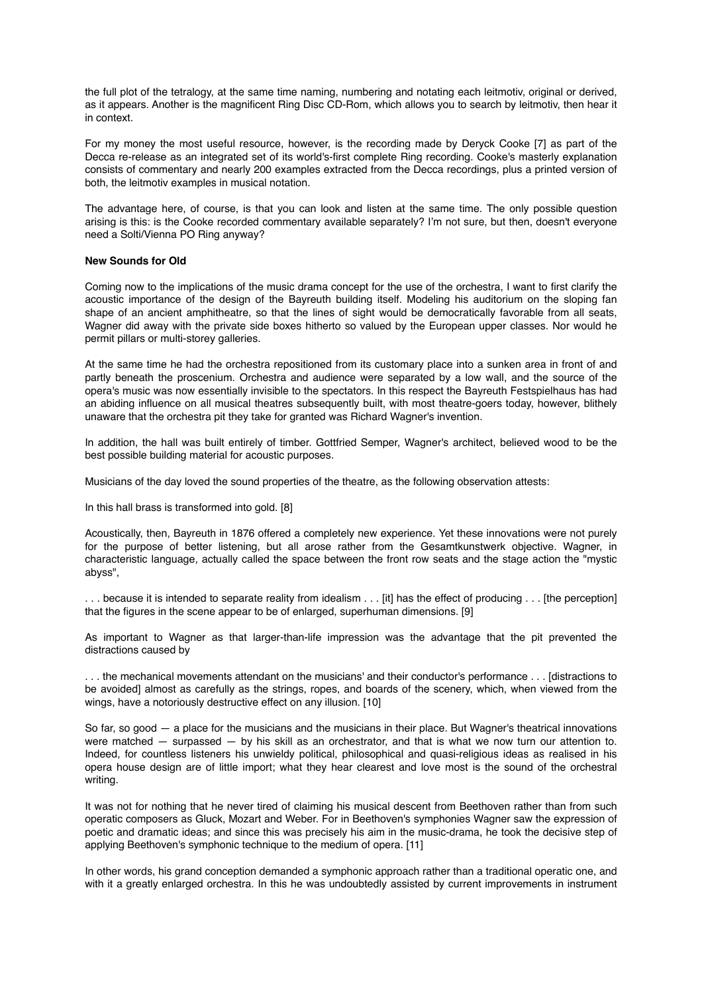the full plot of the tetralogy, at the same time naming, numbering and notating each leitmotiv, original or derived, as it appears. Another is the magnificent Ring Disc CD-Rom, which allows you to search by leitmotiv, then hear it in context.

For my money the most useful resource, however, is the recording made by Deryck Cooke [7] as part of the Decca re-release as an integrated set of its world's-first complete Ring recording. Cooke's masterly explanation consists of commentary and nearly 200 examples extracted from the Decca recordings, plus a printed version of both, the leitmotiv examples in musical notation.

The advantage here, of course, is that you can look and listen at the same time. The only possible question arising is this: is the Cooke recorded commentary available separately? I'm not sure, but then, doesn't everyone need a Solti/Vienna PO Ring anyway?

### **New Sounds for Old**

Coming now to the implications of the music drama concept for the use of the orchestra, I want to first clarify the acoustic importance of the design of the Bayreuth building itself. Modeling his auditorium on the sloping fan shape of an ancient amphitheatre, so that the lines of sight would be democratically favorable from all seats, Wagner did away with the private side boxes hitherto so valued by the European upper classes. Nor would he permit pillars or multi-storey galleries.

At the same time he had the orchestra repositioned from its customary place into a sunken area in front of and partly beneath the proscenium. Orchestra and audience were separated by a low wall, and the source of the opera's music was now essentially invisible to the spectators. In this respect the Bayreuth Festspielhaus has had an abiding influence on all musical theatres subsequently built, with most theatre-goers today, however, blithely unaware that the orchestra pit they take for granted was Richard Wagner's invention.

In addition, the hall was built entirely of timber. Gottfried Semper, Wagner's architect, believed wood to be the best possible building material for acoustic purposes.

Musicians of the day loved the sound properties of the theatre, as the following observation attests:

In this hall brass is transformed into gold. [8]

Acoustically, then, Bayreuth in 1876 offered a completely new experience. Yet these innovations were not purely for the purpose of better listening, but all arose rather from the Gesamtkunstwerk objective. Wagner, in characteristic language, actually called the space between the front row seats and the stage action the "mystic abyss",

. . . because it is intended to separate reality from idealism . . . [it] has the effect of producing . . . [the perception] that the figures in the scene appear to be of enlarged, superhuman dimensions. [9]

As important to Wagner as that larger-than-life impression was the advantage that the pit prevented the distractions caused by

. . . the mechanical movements attendant on the musicians' and their conductor's performance . . . [distractions to be avoided] almost as carefully as the strings, ropes, and boards of the scenery, which, when viewed from the wings, have a notoriously destructive effect on any illusion. [10]

So far, so good — a place for the musicians and the musicians in their place. But Wagner's theatrical innovations were matched — surpassed — by his skill as an orchestrator, and that is what we now turn our attention to. Indeed, for countless listeners his unwieldy political, philosophical and quasi-religious ideas as realised in his opera house design are of little import; what they hear clearest and love most is the sound of the orchestral writing.

It was not for nothing that he never tired of claiming his musical descent from Beethoven rather than from such operatic composers as Gluck, Mozart and Weber. For in Beethoven's symphonies Wagner saw the expression of poetic and dramatic ideas; and since this was precisely his aim in the music-drama, he took the decisive step of applying Beethoven's symphonic technique to the medium of opera. [11]

In other words, his grand conception demanded a symphonic approach rather than a traditional operatic one, and with it a greatly enlarged orchestra. In this he was undoubtedly assisted by current improvements in instrument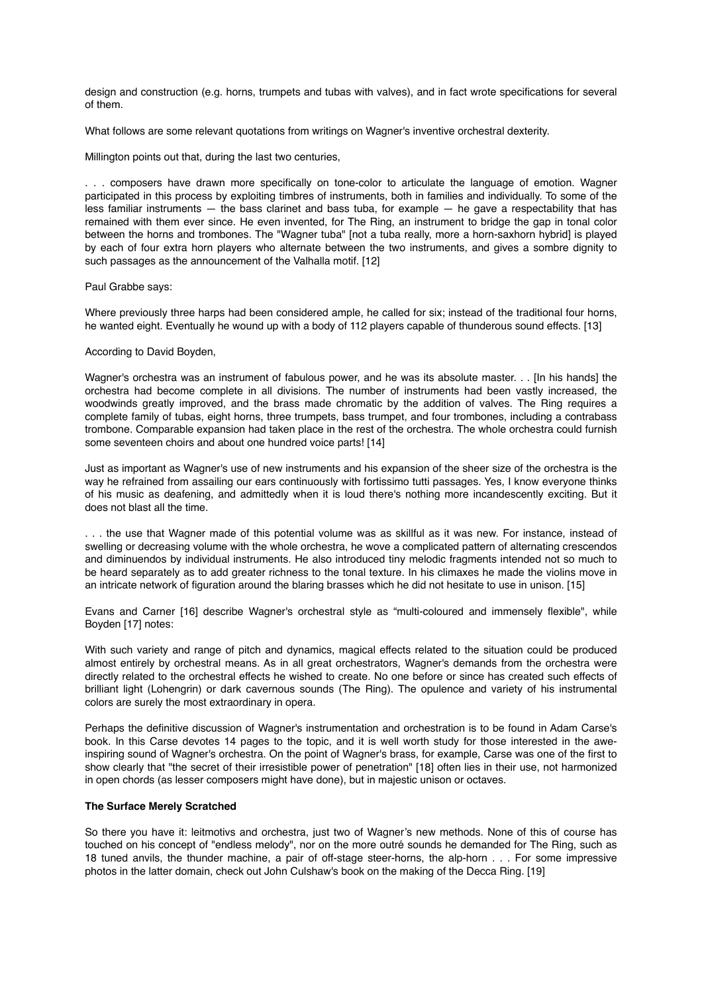design and construction (e.g. horns, trumpets and tubas with valves), and in fact wrote specifications for several of them.

What follows are some relevant quotations from writings on Wagner's inventive orchestral dexterity.

Millington points out that, during the last two centuries,

. . . composers have drawn more specifically on tone-color to articulate the language of emotion. Wagner participated in this process by exploiting timbres of instruments, both in families and individually. To some of the less familiar instruments  $-$  the bass clarinet and bass tuba, for example  $-$  he gave a respectability that has remained with them ever since. He even invented, for The Ring, an instrument to bridge the gap in tonal color between the horns and trombones. The "Wagner tuba" [not a tuba really, more a horn-saxhorn hybrid] is played by each of four extra horn players who alternate between the two instruments, and gives a sombre dignity to such passages as the announcement of the Valhalla motif. [12]

Paul Grabbe says:

Where previously three harps had been considered ample, he called for six; instead of the traditional four horns, he wanted eight. Eventually he wound up with a body of 112 players capable of thunderous sound effects. [13]

### According to David Boyden,

Wagner's orchestra was an instrument of fabulous power, and he was its absolute master. . . [In his hands] the orchestra had become complete in all divisions. The number of instruments had been vastly increased, the woodwinds greatly improved, and the brass made chromatic by the addition of valves. The Ring requires a complete family of tubas, eight horns, three trumpets, bass trumpet, and four trombones, including a contrabass trombone. Comparable expansion had taken place in the rest of the orchestra. The whole orchestra could furnish some seventeen choirs and about one hundred voice parts! [14]

Just as important as Wagner's use of new instruments and his expansion of the sheer size of the orchestra is the way he refrained from assailing our ears continuously with fortissimo tutti passages. Yes, I know everyone thinks of his music as deafening, and admittedly when it is loud there's nothing more incandescently exciting. But it does not blast all the time.

. . . the use that Wagner made of this potential volume was as skillful as it was new. For instance, instead of swelling or decreasing volume with the whole orchestra, he wove a complicated pattern of alternating crescendos and diminuendos by individual instruments. He also introduced tiny melodic fragments intended not so much to be heard separately as to add greater richness to the tonal texture. In his climaxes he made the violins move in an intricate network of figuration around the blaring brasses which he did not hesitate to use in unison. [15]

Evans and Carner [16] describe Wagner's orchestral style as "multi-coloured and immensely flexible", while Boyden [17] notes:

With such variety and range of pitch and dynamics, magical effects related to the situation could be produced almost entirely by orchestral means. As in all great orchestrators, Wagner's demands from the orchestra were directly related to the orchestral effects he wished to create. No one before or since has created such effects of brilliant light (Lohengrin) or dark cavernous sounds (The Ring). The opulence and variety of his instrumental colors are surely the most extraordinary in opera.

Perhaps the definitive discussion of Wagner's instrumentation and orchestration is to be found in Adam Carse's book. In this Carse devotes 14 pages to the topic, and it is well worth study for those interested in the aweinspiring sound of Wagner's orchestra. On the point of Wagner's brass, for example, Carse was one of the first to show clearly that "the secret of their irresistible power of penetration" [18] often lies in their use, not harmonized in open chords (as lesser composers might have done), but in majestic unison or octaves.

## **The Surface Merely Scratched**

So there you have it: leitmotivs and orchestra, just two of Wagner's new methods. None of this of course has touched on his concept of "endless melody", nor on the more outré sounds he demanded for The Ring, such as 18 tuned anvils, the thunder machine, a pair of off-stage steer-horns, the alp-horn . . . For some impressive photos in the latter domain, check out John Culshaw's book on the making of the Decca Ring. [19]